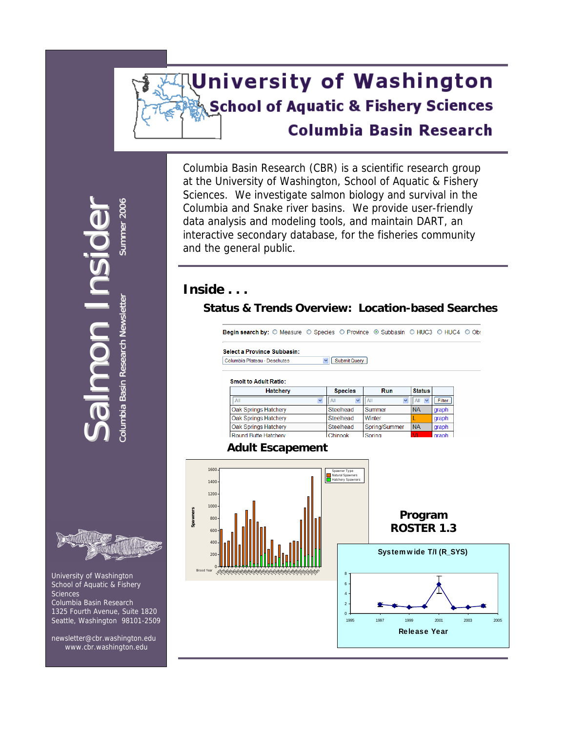# **University of Washington School of Aquatic & Fishery Sciences Columbia Basin Research**

Columbia Basin Research (CBR) is a scientific research group at the University of Washington, School of Aquatic & Fishery Sciences. We investigate salmon biology and survival in the Columbia and Snake river basins. We provide user-friendly data analysis and modeling tools, and maintain DART, an interactive secondary database, for the fisheries community and the general public.

### **Inside . . .**

**Spawners**

Brood Year

**600** 400 200

### **Status & Trends Overview: Location-based Searches**

Begin search by: O Measure O Species O Province O Subbasin O HUC3 O HUC4 O Obs **Select a Province Subbasin:** Columbia Plateau - Deschutes v Submit Query **Smolt to Adult Ratio: Hatchery Species**  $Run$ **Status**  $\overline{AII}$  $All$   $\vee$ Filter Oak Springs Hatchery Steelhead Summer **NA** graph Oak Springs Hatchery Steelhead Winter graph Oak Springs Hatchery Steelhead Spring/Summer  $NA$ graph Round Butte Hatcherv Chinook Spring graph **Adult Escapement**  1600 Spawner Type Natural Spawners Hatchery Spawners 1400 1200 1000 **Program**  800



**Summer 2006** mer 2006  $\mathbf U$ sid Columbia Basin Research Newsletter Sum n In Columbia Basin Research Newsletter o alm S

r 1



 University of Washington School of Aquatic & Fishery Sciences Columbia Basin Research 1325 Fourth Avenue, Suite 1820 Seattle, Washington 98101-2509

 newsletter@cbr.washington.edu [www.cbr.washington.edu](http://www.cbr.washington.edu/)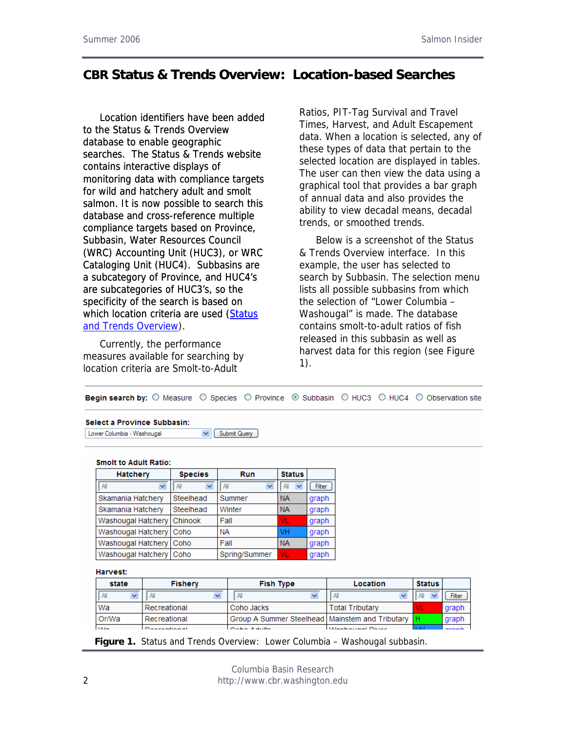### **CBR Status & Trends Overview: Location-based Searches**

[Location identifiers have been added](http://www.cbr.washington.edu/trends/)  [to the Status & Trends Overview](http://www.cbr.washington.edu/trends/)  [database to enable geographic](http://www.cbr.washington.edu/trends/)  [searches. The Status & Trends website](http://www.cbr.washington.edu/trends/)  [contains interactive displays of](http://www.cbr.washington.edu/trends/)  [monitoring data with compliance targets](http://www.cbr.washington.edu/trends/)  [for wild and hatchery adult and smolt](http://www.cbr.washington.edu/trends/)  [salmon. It is now possible to search this](http://www.cbr.washington.edu/trends/)  [database and cross-reference multiple](http://www.cbr.washington.edu/trends/)  [compliance targets based on Province,](http://www.cbr.washington.edu/trends/)  [Subbasin, Water Resources Council](http://www.cbr.washington.edu/trends/)  [\(WRC\) Accounting Unit \(HUC3\), or WRC](http://www.cbr.washington.edu/trends/)  [Cataloging Unit \(HUC4\). Subbasins are](http://www.cbr.washington.edu/trends/)  [a subcategory of Province, and HUC4's](http://www.cbr.washington.edu/trends/)  [are subcategories of HUC3's, so the](http://www.cbr.washington.edu/trends/)  [specificity of the search is based on](http://www.cbr.washington.edu/trends/)  which location criteria are used (Status [and Trends Overview](http://www.cbr.washington.edu/trends/)).

Currently, the performance measures available for searching by location criteria are Smolt-to-Adult

Ratios, PIT-Tag Survival and Travel Times, Harvest, and Adult Escapement data. When a location is selected, any of these types of data that pertain to the selected location are displayed in tables. The user can then view the data using a graphical tool that provides a bar graph of annual data and also provides the ability to view decadal means, decadal trends, or smoothed trends.

Below is a screenshot of the Status & Trends Overview interface. In this example, the user has selected to search by Subbasin. The selection menu lists all possible subbasins from which the selection of "Lower Columbia – Washougal" is made. The database contains smolt-to-adult ratios of fish released in this subbasin as well as harvest data for this region (see Figure 1).

| Begin search by: ○ Measure ○ Species ○ Province · Subbasin ○ HUC3 ○ HUC4 · ○ Observation site |  |  |  |  |  |  |  |
|-----------------------------------------------------------------------------------------------|--|--|--|--|--|--|--|
|-----------------------------------------------------------------------------------------------|--|--|--|--|--|--|--|

#### Select a Province Subbasin:

Lower Columbia - Washougal  $\triangledown$  Submit Query

#### **Smolt to Adult Ratio:**

| <b>Hatchery</b>           | <b>Species</b> | Run           | <b>Status</b> |        |  |
|---------------------------|----------------|---------------|---------------|--------|--|
| v<br>All                  | All<br>v       | All<br>v      | v<br>All      | Filter |  |
| Skamania Hatchery         | Steelhead      | Summer        | <b>NA</b>     | graph  |  |
| Skamania Hatchery         | Steelhead      | Winter        | <b>NA</b>     | graph  |  |
| Washougal Hatchery        | Chinook        | Fall          | VL            | graph  |  |
| Washougal Hatchery   Coho |                | <b>NA</b>     | VH            | graph  |  |
| Washougal Hatchery        | Coho           | Fall          | <b>NA</b>     | graph  |  |
| Washougal Hatchery   Coho |                | Spring/Summer | VL            | graph  |  |

Harvest:

| state |            | <b>Fishery</b> | <b>Fish Type</b>                                      | <b>Location</b>        | Status       |               |
|-------|------------|----------------|-------------------------------------------------------|------------------------|--------------|---------------|
|       |            |                |                                                       |                        |              | <b>Filter</b> |
|       | Wa         | Recreational   | Coho Jacks                                            | <b>Total Tributary</b> | VL           | graph         |
|       | Or/Wa      | Recreational   | Group A Summer Steelhead   Mainstem and Tributary   H |                        |              | graph         |
|       | <b>AAL</b> | Descentissed   | Contract Andrew                                       | Machaised Diver        | $\mathbf{v}$ |               |

**Figure 1.** Status and Trends Overview: Lower Columbia – Washougal subbasin.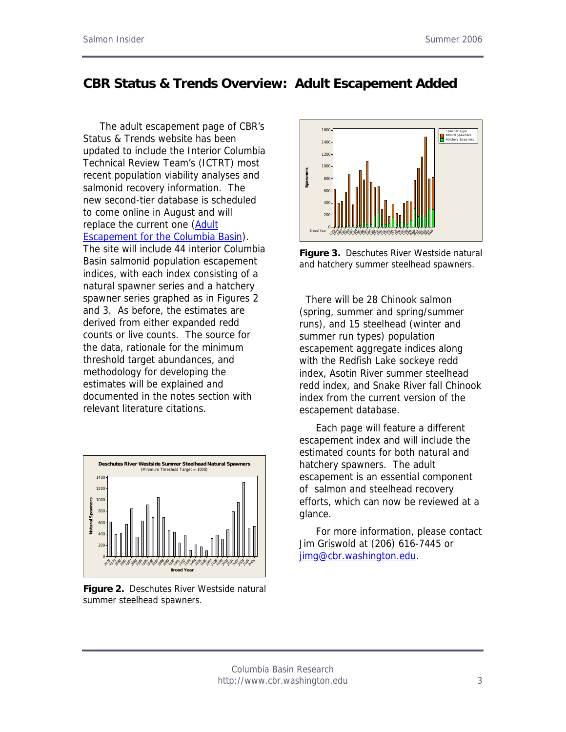### **CBR Status & Trends Overview: Adult Escapement Added**

The adult escapement page of CBR's Status & Trends website has been updated to include the Interior Columbia Technical Review Team's (ICTRT) most recent population viability analyses and salmonid recovery information. The new second-tier database is scheduled to come online in August and will replace the current one [\(Adult](http://www.cbr.washington.edu/adultEscape/)  [Escapement for the Columbia Basin](http://www.cbr.washington.edu/adultEscape/)). The site will include 44 interior Columbia Basin salmonid population escapement indices, with each index consisting of a natural spawner series and a hatchery spawner series graphed as in Figures 2 and 3. As before, the estimates are derived from either expanded redd counts or live counts. The source for the data, rationale for the minimum threshold target abundances, and methodology for developing the estimates will be explained and documented in the notes section with relevant literature citations.



**Figure 2.** Deschutes River Westside natural summer steelhead spawners.



**Figure 3.** Deschutes River Westside natural and hatchery summer steelhead spawners.

 There will be 28 Chinook salmon (spring, summer and spring/summer runs), and 15 steelhead (winter and summer run types) population escapement aggregate indices along with the Redfish Lake sockeye redd index, Asotin River summer steelhead redd index, and Snake River fall Chinook index from the current version of the escapement database.

Each page will feature a different escapement index and will include the estimated counts for both natural and hatchery spawners. The adult escapement is an essential component of salmon and steelhead recovery efforts, which can now be reviewed at a glance.

For more information, please contact Jim Griswold at (206) 616-7445 or [jimg@cbr.washington.edu](mailto:jimg@cbr.washington.edu?subject=Salmon%20Insider%20Spring%202006%20Harvest%20Database).